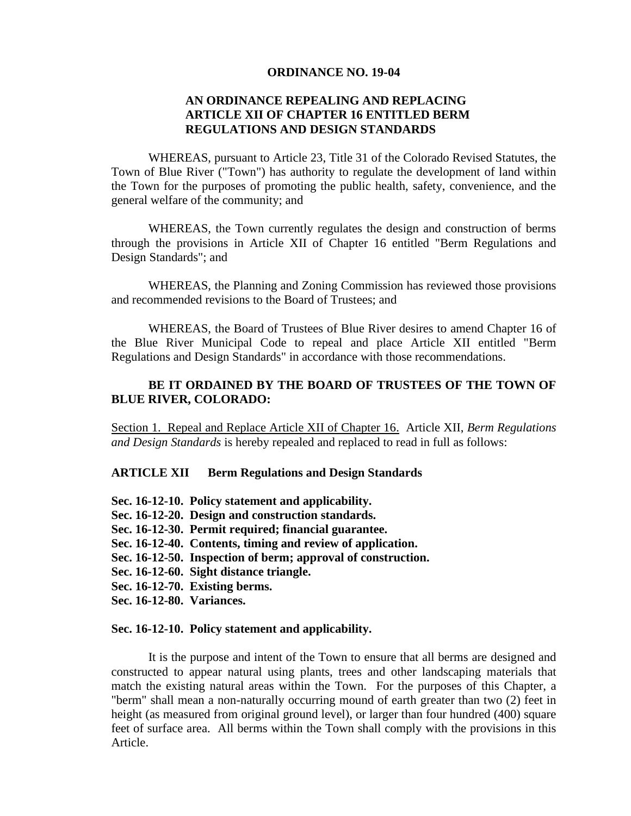### **ORDINANCE NO. 19-04**

# **AN ORDINANCE REPEALING AND REPLACING ARTICLE XII OF CHAPTER 16 ENTITLED BERM REGULATIONS AND DESIGN STANDARDS**

WHEREAS, pursuant to Article 23, Title 31 of the Colorado Revised Statutes, the Town of Blue River ("Town") has authority to regulate the development of land within the Town for the purposes of promoting the public health, safety, convenience, and the general welfare of the community; and

WHEREAS, the Town currently regulates the design and construction of berms through the provisions in Article XII of Chapter 16 entitled "Berm Regulations and Design Standards"; and

WHEREAS, the Planning and Zoning Commission has reviewed those provisions and recommended revisions to the Board of Trustees; and

WHEREAS, the Board of Trustees of Blue River desires to amend Chapter 16 of the Blue River Municipal Code to repeal and place Article XII entitled "Berm Regulations and Design Standards" in accordance with those recommendations.

## BE IT ORDAINED BY THE BOARD OF TRUSTEES OF THE TOWN OF **BLUE RIVER, COLORADO:**

Section 1. Repeal and Replace Article XII of Chapter 16. Article XII, *Berm Regulations and Design Standards* is hereby repealed and replaced to read in full as follows:

### **ARTICLE XII Berm Regulations and Design Standards**

- **Sec. 16-12-10. Policy statement and applicability.**
- **Sec. 16-12-20. Design and construction standards.**
- **Sec. 16-12-30. Permit required; financial guarantee.**
- **Sec. 16-12-40. Contents, timing and review of application.**
- **Sec. 16-12-50. Inspection of berm; approval of construction.**
- **Sec. 16-12-60. Sight distance triangle.**
- **Sec. 16-12-70. Existing berms.**
- **Sec. 16-12-80. Variances.**

### **Sec. 16-12-10. Policy statement and applicability.**

It is the purpose and intent of the Town to ensure that all berms are designed and constructed to appear natural using plants, trees and other landscaping materials that match the existing natural areas within the Town. For the purposes of this Chapter, a "berm" shall mean a non-naturally occurring mound of earth greater than two (2) feet in height (as measured from original ground level), or larger than four hundred (400) square feet of surface area. All berms within the Town shall comply with the provisions in this Article.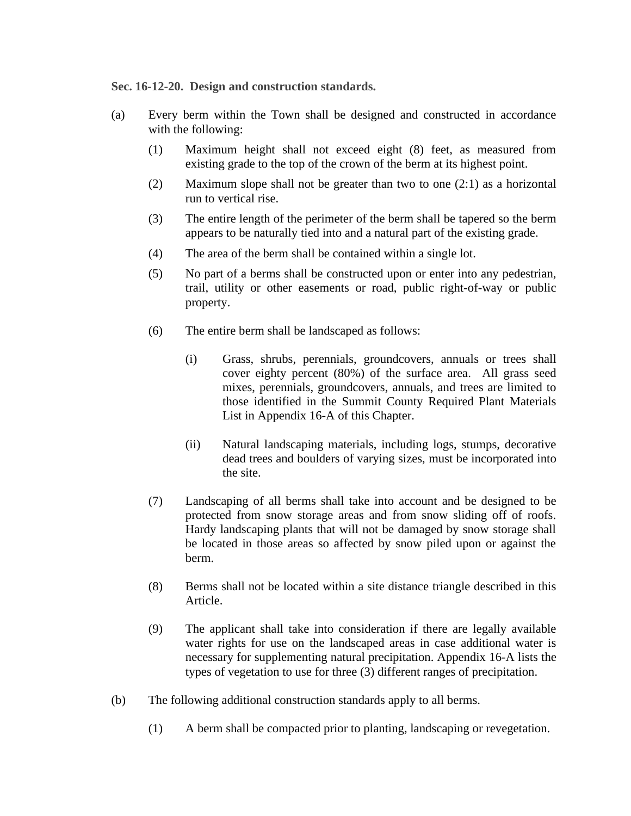**Sec. 16-12-20. Design and construction standards.**

- (a) Every berm within the Town shall be designed and constructed in accordance with the following:
	- (1) Maximum height shall not exceed eight (8) feet, as measured from existing grade to the top of the crown of the berm at its highest point.
	- (2) Maximum slope shall not be greater than two to one (2:1) as a horizontal run to vertical rise.
	- (3) The entire length of the perimeter of the berm shall be tapered so the berm appears to be naturally tied into and a natural part of the existing grade.
	- (4) The area of the berm shall be contained within a single lot.
	- (5) No part of a berms shall be constructed upon or enter into any pedestrian, trail, utility or other easements or road, public right-of-way or public property.
	- (6) The entire berm shall be landscaped as follows:
		- (i) Grass, shrubs, perennials, groundcovers, annuals or trees shall cover eighty percent (80%) of the surface area. All grass seed mixes, perennials, groundcovers, annuals, and trees are limited to those identified in the Summit County Required Plant Materials List in Appendix 16-A of this Chapter.
		- (ii) Natural landscaping materials, including logs, stumps, decorative dead trees and boulders of varying sizes, must be incorporated into the site.
	- (7) Landscaping of all berms shall take into account and be designed to be protected from snow storage areas and from snow sliding off of roofs. Hardy landscaping plants that will not be damaged by snow storage shall be located in those areas so affected by snow piled upon or against the berm.
	- (8) Berms shall not be located within a site distance triangle described in this Article.
	- (9) The applicant shall take into consideration if there are legally available water rights for use on the landscaped areas in case additional water is necessary for supplementing natural precipitation. Appendix 16-A lists the types of vegetation to use for three (3) different ranges of precipitation.
- (b) The following additional construction standards apply to all berms.
	- (1) A berm shall be compacted prior to planting, landscaping or revegetation.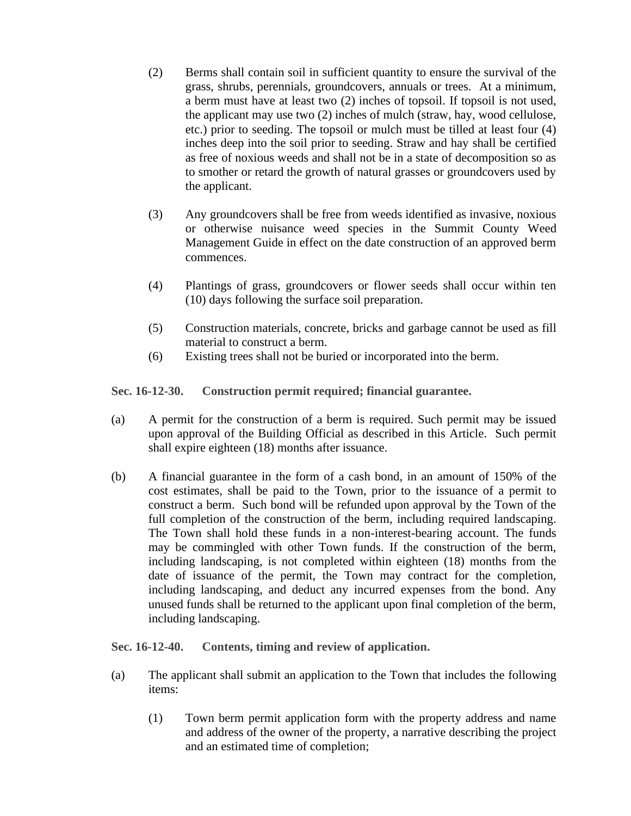- (2) Berms shall contain soil in sufficient quantity to ensure the survival of the grass, shrubs, perennials, groundcovers, annuals or trees. At a minimum, a berm must have at least two (2) inches of topsoil. If topsoil is not used, the applicant may use two (2) inches of mulch (straw, hay, wood cellulose, etc.) prior to seeding. The topsoil or mulch must be tilled at least four (4) inches deep into the soil prior to seeding. Straw and hay shall be certified as free of noxious weeds and shall not be in a state of decomposition so as to smother or retard the growth of natural grasses or groundcovers used by the applicant.
- (3) Any groundcovers shall be free from weeds identified as invasive, noxious or otherwise nuisance weed species in the Summit County Weed Management Guide in effect on the date construction of an approved berm commences.
- (4) Plantings of grass, groundcovers or flower seeds shall occur within ten (10) days following the surface soil preparation.
- (5) Construction materials, concrete, bricks and garbage cannot be used as fill material to construct a berm.
- (6) Existing trees shall not be buried or incorporated into the berm.

**Sec. 16-12-30. Construction permit required; financial guarantee.**

- (a) A permit for the construction of a berm is required. Such permit may be issued upon approval of the Building Official as described in this Article. Such permit shall expire eighteen (18) months after issuance.
- (b) A financial guarantee in the form of a cash bond, in an amount of 150% of the cost estimates, shall be paid to the Town, prior to the issuance of a permit to construct a berm. Such bond will be refunded upon approval by the Town of the full completion of the construction of the berm, including required landscaping. The Town shall hold these funds in a non-interest-bearing account. The funds may be commingled with other Town funds. If the construction of the berm, including landscaping, is not completed within eighteen (18) months from the date of issuance of the permit, the Town may contract for the completion, including landscaping, and deduct any incurred expenses from the bond. Any unused funds shall be returned to the applicant upon final completion of the berm, including landscaping.

**Sec. 16-12-40. Contents, timing and review of application.**

- (a) The applicant shall submit an application to the Town that includes the following items:
	- (1) Town berm permit application form with the property address and name and address of the owner of the property, a narrative describing the project and an estimated time of completion;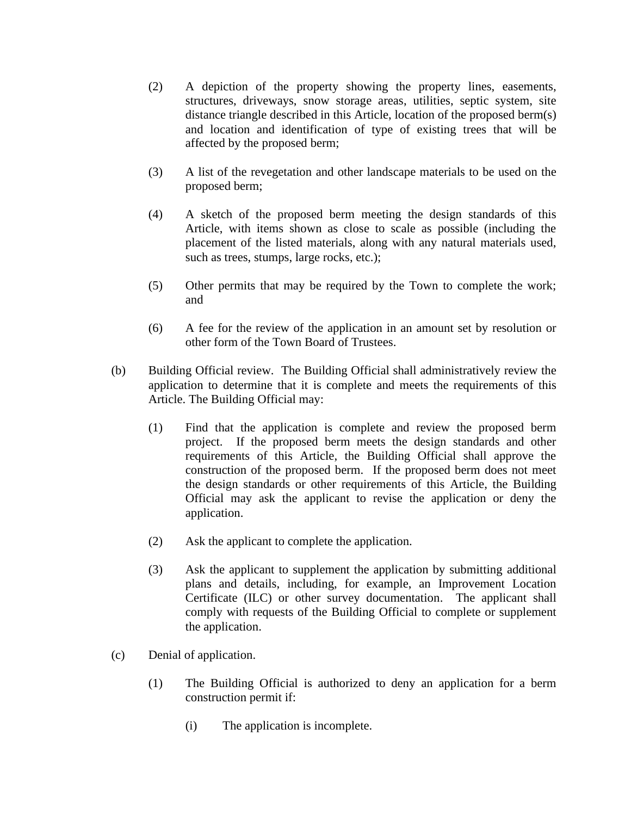- (2) A depiction of the property showing the property lines, easements, structures, driveways, snow storage areas, utilities, septic system, site distance triangle described in this Article, location of the proposed berm(s) and location and identification of type of existing trees that will be affected by the proposed berm;
- (3) A list of the revegetation and other landscape materials to be used on the proposed berm;
- (4) A sketch of the proposed berm meeting the design standards of this Article, with items shown as close to scale as possible (including the placement of the listed materials, along with any natural materials used, such as trees, stumps, large rocks, etc.);
- (5) Other permits that may be required by the Town to complete the work; and
- (6) A fee for the review of the application in an amount set by resolution or other form of the Town Board of Trustees.
- (b) Building Official review. The Building Official shall administratively review the application to determine that it is complete and meets the requirements of this Article. The Building Official may:
	- (1) Find that the application is complete and review the proposed berm project. If the proposed berm meets the design standards and other requirements of this Article, the Building Official shall approve the construction of the proposed berm. If the proposed berm does not meet the design standards or other requirements of this Article, the Building Official may ask the applicant to revise the application or deny the application.
	- (2) Ask the applicant to complete the application.
	- (3) Ask the applicant to supplement the application by submitting additional plans and details, including, for example, an Improvement Location Certificate (ILC) or other survey documentation. The applicant shall comply with requests of the Building Official to complete or supplement the application.
- (c) Denial of application.
	- (1) The Building Official is authorized to deny an application for a berm construction permit if:
		- (i) The application is incomplete.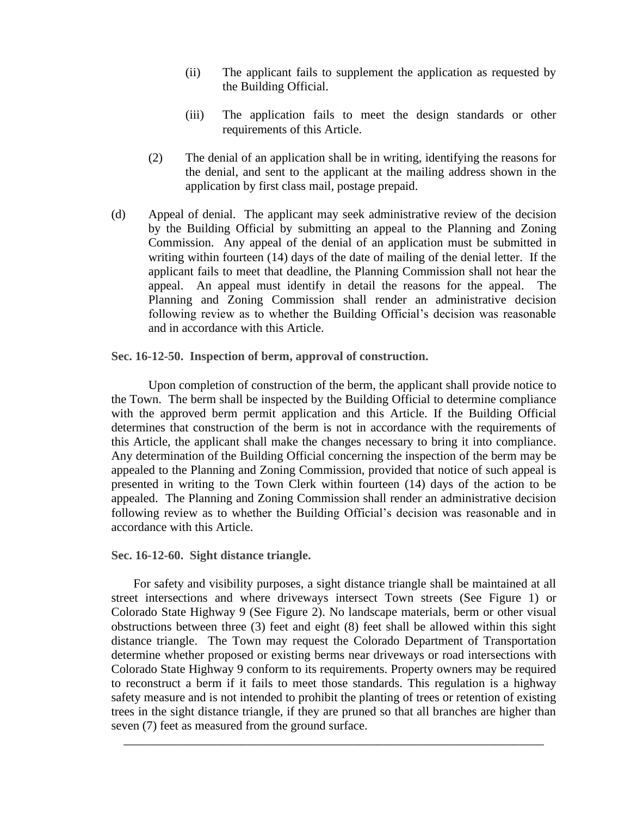- (ii) The applicant fails to supplement the application as requested by the Building Official.
- (iii) The application fails to meet the design standards or other requirements of this Article.
- (2) The denial of an application shall be in writing, identifying the reasons for the denial, and sent to the applicant at the mailing address shown in the application by first class mail, postage prepaid.
- (d) Appeal of denial. The applicant may seek administrative review of the decision by the Building Official by submitting an appeal to the Planning and Zoning Commission. Any appeal of the denial of an application must be submitted in writing within fourteen (14) days of the date of mailing of the denial letter. If the applicant fails to meet that deadline, the Planning Commission shall not hear the appeal. An appeal must identify in detail the reasons for the appeal. The Planning and Zoning Commission shall render an administrative decision following review as to whether the Building Official's decision was reasonable and in accordance with this Article.

**Sec. 16-12-50. Inspection of berm, approval of construction.**

Upon completion of construction of the berm, the applicant shall provide notice to the Town. The berm shall be inspected by the Building Official to determine compliance with the approved berm permit application and this Article. If the Building Official determines that construction of the berm is not in accordance with the requirements of this Article, the applicant shall make the changes necessary to bring it into compliance. Any determination of the Building Official concerning the inspection of the berm may be appealed to the Planning and Zoning Commission, provided that notice of such appeal is presented in writing to the Town Clerk within fourteen (14) days of the action to be appealed. The Planning and Zoning Commission shall render an administrative decision following review as to whether the Building Official's decision was reasonable and in accordance with this Article.

**Sec. 16-12-60. Sight distance triangle.**

For safety and visibility purposes, a sight distance triangle shall be maintained at all street intersections and where driveways intersect Town streets (See Figure 1) or Colorado State Highway 9 (See Figure 2). No landscape materials, berm or other visual obstructions between three (3) feet and eight (8) feet shall be allowed within this sight distance triangle. The Town may request the Colorado Department of Transportation determine whether proposed or existing berms near driveways or road intersections with Colorado State Highway 9 conform to its requirements. Property owners may be required to reconstruct a berm if it fails to meet those standards. This regulation is a highway safety measure and is not intended to prohibit the planting of trees or retention of existing trees in the sight distance triangle, if they are pruned so that all branches are higher than seven (7) feet as measured from the ground surface.

\_\_\_\_\_\_\_\_\_\_\_\_\_\_\_\_\_\_\_\_\_\_\_\_\_\_\_\_\_\_\_\_\_\_\_\_\_\_\_\_\_\_\_\_\_\_\_\_\_\_\_\_\_\_\_\_\_\_\_\_\_\_\_\_\_\_\_\_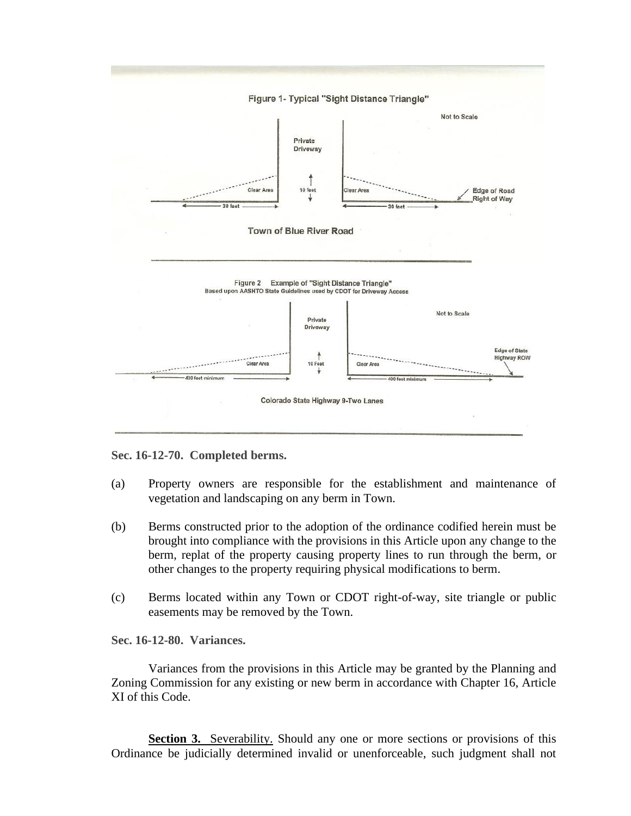

**Sec. 16-12-70. Completed berms.**

- (a) Property owners are responsible for the establishment and maintenance of vegetation and landscaping on any berm in Town.
- (b) Berms constructed prior to the adoption of the ordinance codified herein must be brought into compliance with the provisions in this Article upon any change to the berm, replat of the property causing property lines to run through the berm, or other changes to the property requiring physical modifications to berm.
- (c) Berms located within any Town or CDOT right-of-way, site triangle or public easements may be removed by the Town.

**Sec. 16-12-80. Variances.**

Variances from the provisions in this Article may be granted by the Planning and Zoning Commission for any existing or new berm in accordance with Chapter 16, Article XI of this Code.

**Section 3.** Severability. Should any one or more sections or provisions of this Ordinance be judicially determined invalid or unenforceable, such judgment shall not